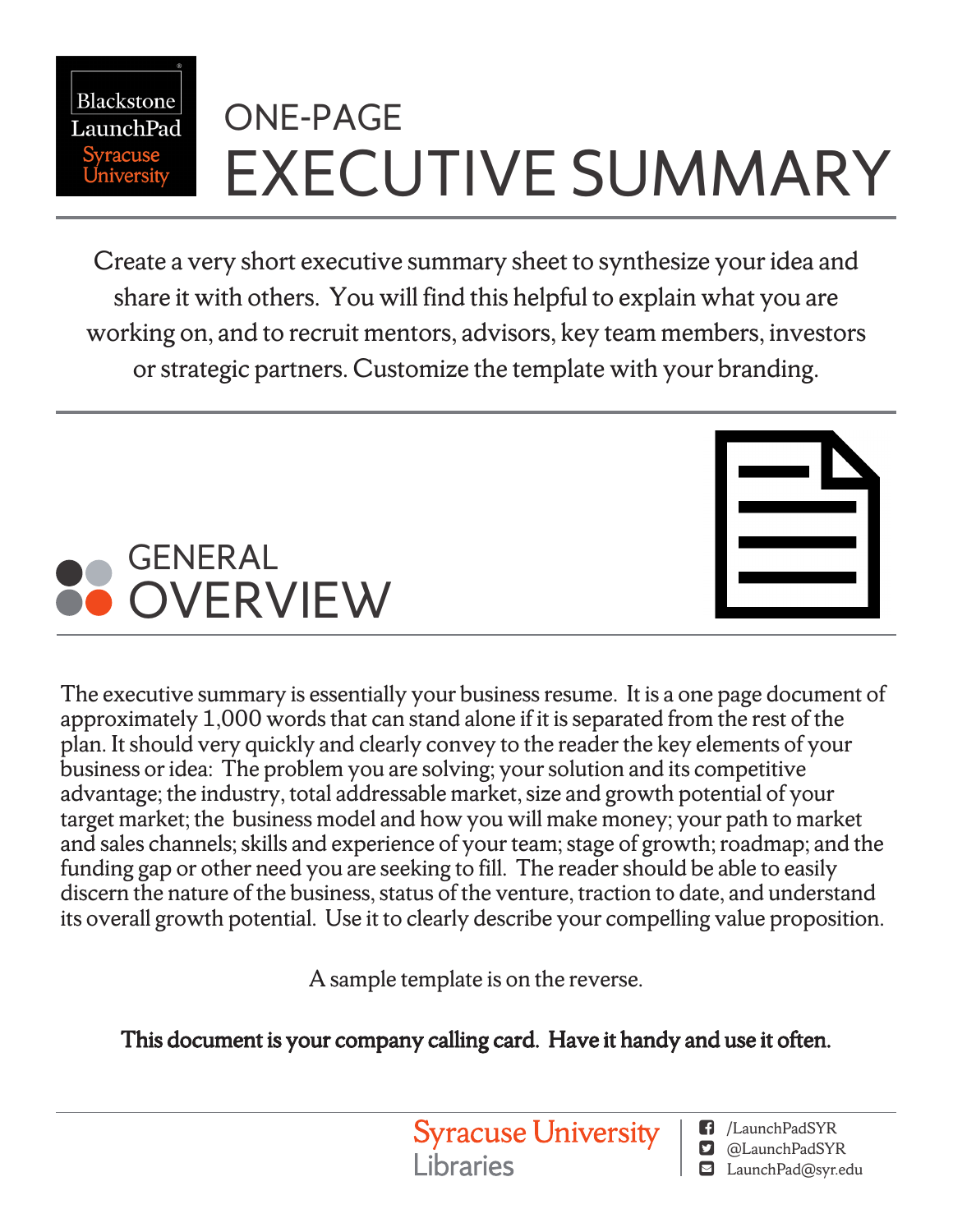# ONE-PAGE EXECUTIVE SUMMARY

Create a very short executive summary sheet to synthesize your idea and share it with others. You will find this helpful to explain what you are working on, and to recruit mentors, advisors, key team members, investors or strategic partners. Customize the template with your branding.



Blackstone LaunchPad

The executive summary is essentially your business resume. It is a one page document of approximately  $1,000$  words that can stand alone if it is separated from the rest of the plan. It should very quickly and clearly convey to the reader the key elements of your business or idea: The problem you are solving; your solution and its competitive advantage; the industry, total addressable market, size and growth potential of your target market; the business model and how you will make money; your path to market and sales channels; skills and experience of your team; stage of growth; roadmap; and the funding gap or other need you are seeking to fill. The reader should be able to easily discern the nature of the business, status of the venture, traction to date, and understand its overall growth potential. Use it to clearly describe your compelling value proposition.

A sample template is on the reverse.

This document is your company calling card. Have it handy and use it often.

**Syracuse University Libraries** 

/LaunchPadSYR

- **D** @LaunchPadSYR
- LaunchPad@syr.edu